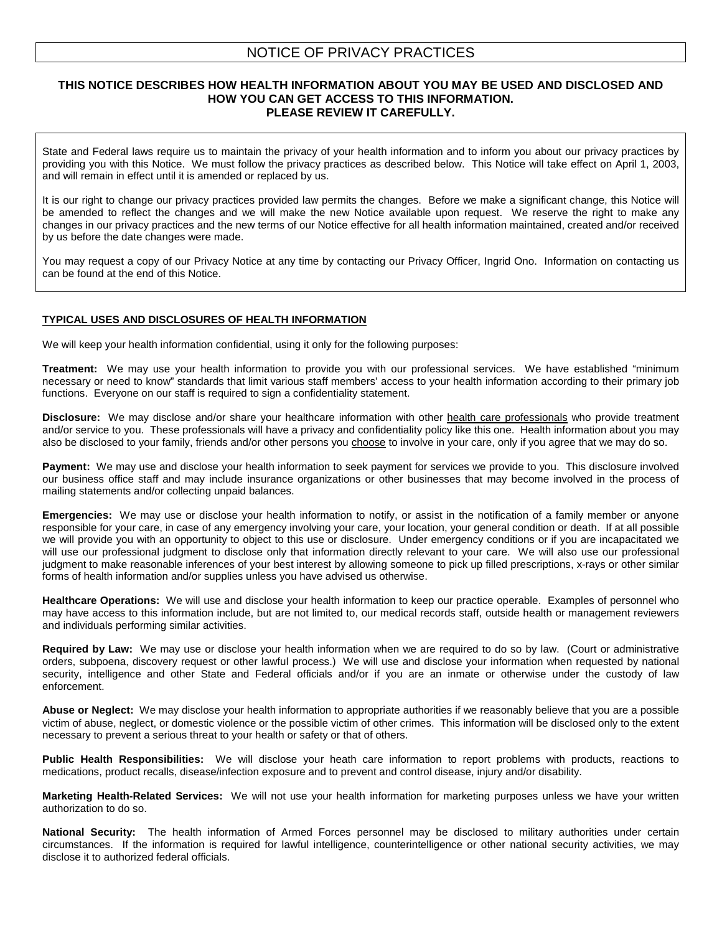# NOTICE OF PRIVACY PRACTICES

## **THIS NOTICE DESCRIBES HOW HEALTH INFORMATION ABOUT YOU MAY BE USED AND DISCLOSED AND HOW YOU CAN GET ACCESS TO THIS INFORMATION. PLEASE REVIEW IT CAREFULLY.**

State and Federal laws require us to maintain the privacy of your health information and to inform you about our privacy practices by providing you with this Notice. We must follow the privacy practices as described below. This Notice will take effect on April 1, 2003, and will remain in effect until it is amended or replaced by us.

It is our right to change our privacy practices provided law permits the changes. Before we make a significant change, this Notice will be amended to reflect the changes and we will make the new Notice available upon request. We reserve the right to make any changes in our privacy practices and the new terms of our Notice effective for all health information maintained, created and/or received by us before the date changes were made.

You may request a copy of our Privacy Notice at any time by contacting our Privacy Officer, Ingrid Ono. Information on contacting us can be found at the end of this Notice.

#### **TYPICAL USES AND DISCLOSURES OF HEALTH INFORMATION**

We will keep your health information confidential, using it only for the following purposes:

**Treatment:** We may use your health information to provide you with our professional services. We have established "minimum necessary or need to know" standards that limit various staff members' access to your health information according to their primary job functions. Everyone on our staff is required to sign a confidentiality statement.

Disclosure: We may disclose and/or share your healthcare information with other health care professionals who provide treatment and/or service to you. These professionals will have a privacy and confidentiality policy like this one. Health information about you may also be disclosed to your family, friends and/or other persons you choose to involve in your care, only if you agree that we may do so.

Payment: We may use and disclose your health information to seek payment for services we provide to you. This disclosure involved our business office staff and may include insurance organizations or other businesses that may become involved in the process of mailing statements and/or collecting unpaid balances.

**Emergencies:** We may use or disclose your health information to notify, or assist in the notification of a family member or anyone responsible for your care, in case of any emergency involving your care, your location, your general condition or death. If at all possible we will provide you with an opportunity to object to this use or disclosure. Under emergency conditions or if you are incapacitated we will use our professional judgment to disclose only that information directly relevant to your care. We will also use our professional judgment to make reasonable inferences of your best interest by allowing someone to pick up filled prescriptions, x-rays or other similar forms of health information and/or supplies unless you have advised us otherwise.

**Healthcare Operations:** We will use and disclose your health information to keep our practice operable. Examples of personnel who may have access to this information include, but are not limited to, our medical records staff, outside health or management reviewers and individuals performing similar activities.

**Required by Law:** We may use or disclose your health information when we are required to do so by law. (Court or administrative orders, subpoena, discovery request or other lawful process.) We will use and disclose your information when requested by national security, intelligence and other State and Federal officials and/or if you are an inmate or otherwise under the custody of law enforcement.

**Abuse or Neglect:** We may disclose your health information to appropriate authorities if we reasonably believe that you are a possible victim of abuse, neglect, or domestic violence or the possible victim of other crimes. This information will be disclosed only to the extent necessary to prevent a serious threat to your health or safety or that of others.

**Public Health Responsibilities:** We will disclose your heath care information to report problems with products, reactions to medications, product recalls, disease/infection exposure and to prevent and control disease, injury and/or disability.

**Marketing Health-Related Services:** We will not use your health information for marketing purposes unless we have your written authorization to do so.

**National Security:** The health information of Armed Forces personnel may be disclosed to military authorities under certain circumstances. If the information is required for lawful intelligence, counterintelligence or other national security activities, we may disclose it to authorized federal officials.